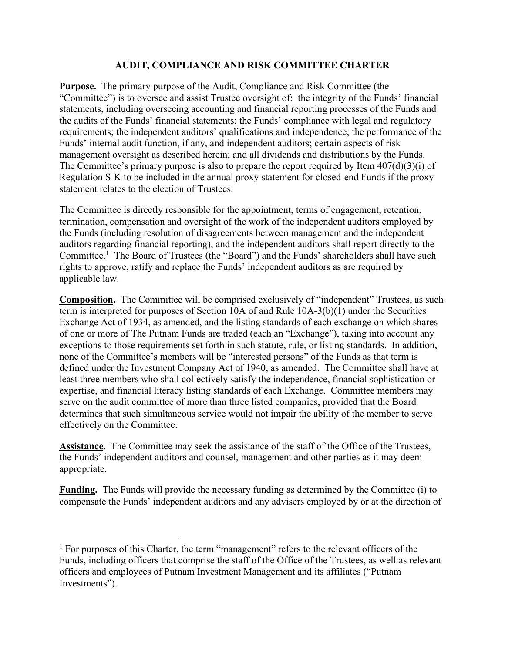## **AUDIT, COMPLIANCE AND RISK COMMITTEE CHARTER**

**Purpose.** The primary purpose of the Audit, Compliance and Risk Committee (the "Committee") is to oversee and assist Trustee oversight of: the integrity of the Funds' financial statements, including overseeing accounting and financial reporting processes of the Funds and the audits of the Funds' financial statements; the Funds' compliance with legal and regulatory requirements; the independent auditors' qualifications and independence; the performance of the Funds' internal audit function, if any, and independent auditors; certain aspects of risk management oversight as described herein; and all dividends and distributions by the Funds. The Committee's primary purpose is also to prepare the report required by Item 407(d)(3)(i) of Regulation S-K to be included in the annual proxy statement for closed-end Funds if the proxy statement relates to the election of Trustees.

The Committee is directly responsible for the appointment, terms of engagement, retention, termination, compensation and oversight of the work of the independent auditors employed by the Funds (including resolution of disagreements between management and the independent auditors regarding financial reporting), and the independent auditors shall report directly to the Committee.<sup>1</sup> The Board of Trustees (the "Board") and the Funds' shareholders shall have such rights to approve, ratify and replace the Funds' independent auditors as are required by applicable law.

**Composition.** The Committee will be comprised exclusively of "independent" Trustees, as such term is interpreted for purposes of Section 10A of and Rule 10A-3(b)(1) under the Securities Exchange Act of 1934, as amended, and the listing standards of each exchange on which shares of one or more of The Putnam Funds are traded (each an "Exchange"), taking into account any exceptions to those requirements set forth in such statute, rule, or listing standards. In addition, none of the Committee's members will be "interested persons" of the Funds as that term is defined under the Investment Company Act of 1940, as amended. The Committee shall have at least three members who shall collectively satisfy the independence, financial sophistication or expertise, and financial literacy listing standards of each Exchange. Committee members may serve on the audit committee of more than three listed companies, provided that the Board determines that such simultaneous service would not impair the ability of the member to serve effectively on the Committee.

**Assistance.** The Committee may seek the assistance of the staff of the Office of the Trustees, the Funds' independent auditors and counsel, management and other parties as it may deem appropriate.

**Funding.** The Funds will provide the necessary funding as determined by the Committee (i) to compensate the Funds' independent auditors and any advisers employed by or at the direction of

 $<sup>1</sup>$  For purposes of this Charter, the term "management" refers to the relevant officers of the</sup> Funds, including officers that comprise the staff of the Office of the Trustees, as well as relevant officers and employees of Putnam Investment Management and its affiliates ("Putnam Investments").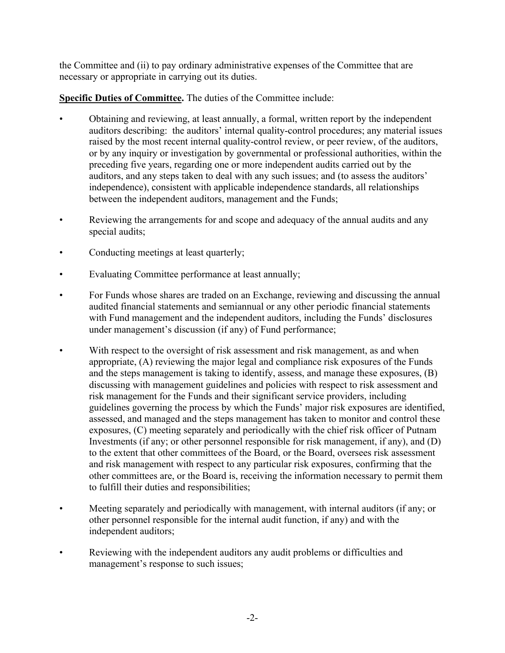the Committee and (ii) to pay ordinary administrative expenses of the Committee that are necessary or appropriate in carrying out its duties.

**Specific Duties of Committee.** The duties of the Committee include:

- Obtaining and reviewing, at least annually, a formal, written report by the independent auditors describing: the auditors' internal quality-control procedures; any material issues raised by the most recent internal quality-control review, or peer review, of the auditors, or by any inquiry or investigation by governmental or professional authorities, within the preceding five years, regarding one or more independent audits carried out by the auditors, and any steps taken to deal with any such issues; and (to assess the auditors' independence), consistent with applicable independence standards, all relationships between the independent auditors, management and the Funds;
- Reviewing the arrangements for and scope and adequacy of the annual audits and any special audits;
- Conducting meetings at least quarterly;
- Evaluating Committee performance at least annually;
- For Funds whose shares are traded on an Exchange, reviewing and discussing the annual audited financial statements and semiannual or any other periodic financial statements with Fund management and the independent auditors, including the Funds' disclosures under management's discussion (if any) of Fund performance;
- With respect to the oversight of risk assessment and risk management, as and when appropriate, (A) reviewing the major legal and compliance risk exposures of the Funds and the steps management is taking to identify, assess, and manage these exposures, (B) discussing with management guidelines and policies with respect to risk assessment and risk management for the Funds and their significant service providers, including guidelines governing the process by which the Funds' major risk exposures are identified, assessed, and managed and the steps management has taken to monitor and control these exposures, (C) meeting separately and periodically with the chief risk officer of Putnam Investments (if any; or other personnel responsible for risk management, if any), and (D) to the extent that other committees of the Board, or the Board, oversees risk assessment and risk management with respect to any particular risk exposures, confirming that the other committees are, or the Board is, receiving the information necessary to permit them to fulfill their duties and responsibilities;
- Meeting separately and periodically with management, with internal auditors (if any; or other personnel responsible for the internal audit function, if any) and with the independent auditors;
- Reviewing with the independent auditors any audit problems or difficulties and management's response to such issues;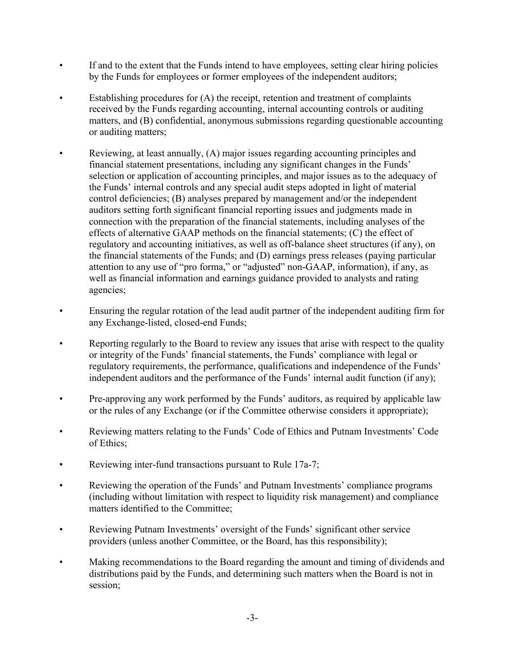- If and to the extent that the Funds intend to have employees, setting clear hiring policies by the Funds for employees or former employees of the independent auditors;
- Establishing procedures for (A) the receipt, retention and treatment of complaints received by the Funds regarding accounting, internal accounting controls or auditing matters, and (B) confidential, anonymous submissions regarding questionable accounting or auditing matters;
- Reviewing, at least annually, (A) major issues regarding accounting principles and financial statement presentations, including any significant changes in the Funds' selection or application of accounting principles, and major issues as to the adequacy of the Funds' internal controls and any special audit steps adopted in light of material control deficiencies; (B) analyses prepared by management and/or the independent auditors setting forth significant financial reporting issues and judgments made in connection with the preparation of the financial statements, including analyses of the effects of alternative GAAP methods on the financial statements; (C) the effect of regulatory and accounting initiatives, as well as off-balance sheet structures (if any), on the financial statements of the Funds; and (D) earnings press releases (paying particular attention to any use of "pro forma," or "adjusted" non-GAAP, information), if any, as well as financial information and earnings guidance provided to analysts and rating agencies;
- Ensuring the regular rotation of the lead audit partner of the independent auditing firm for any Exchange-listed, closed-end Funds;
- Reporting regularly to the Board to review any issues that arise with respect to the quality or integrity of the Funds' financial statements, the Funds' compliance with legal or regulatory requirements, the performance, qualifications and independence of the Funds' independent auditors and the performance of the Funds' internal audit function (if any);
- Pre-approving any work performed by the Funds' auditors, as required by applicable law or the rules of any Exchange (or if the Committee otherwise considers it appropriate);
- Reviewing matters relating to the Funds' Code of Ethics and Putnam Investments' Code of Ethics;
- Reviewing inter-fund transactions pursuant to Rule 17a-7;
- Reviewing the operation of the Funds' and Putnam Investments' compliance programs (including without limitation with respect to liquidity risk management) and compliance matters identified to the Committee;
- Reviewing Putnam Investments' oversight of the Funds' significant other service providers (unless another Committee, or the Board, has this responsibility);
- Making recommendations to the Board regarding the amount and timing of dividends and distributions paid by the Funds, and determining such matters when the Board is not in session;